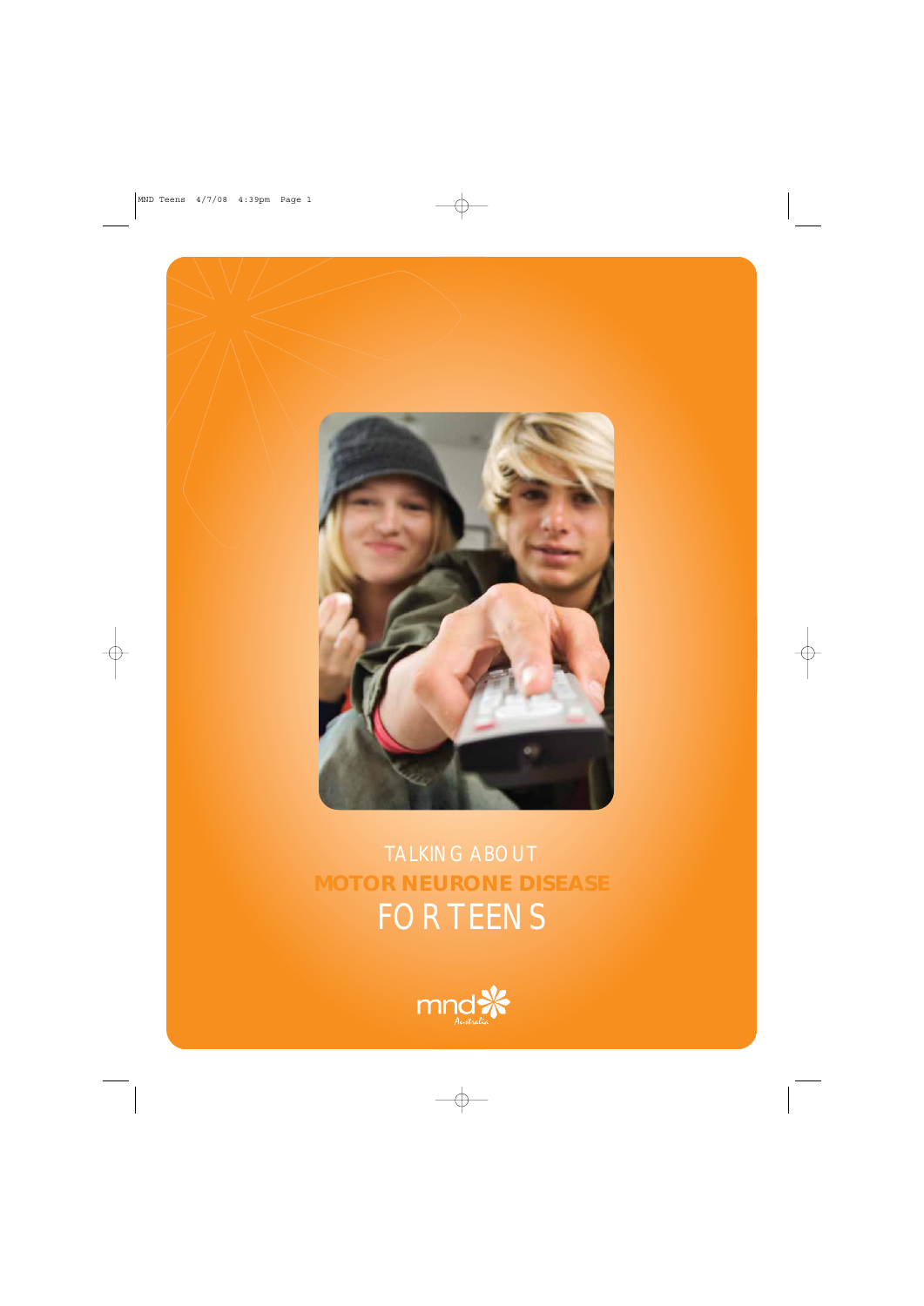

### **MOTOR NEURONE DISEASE** FOR TEENS

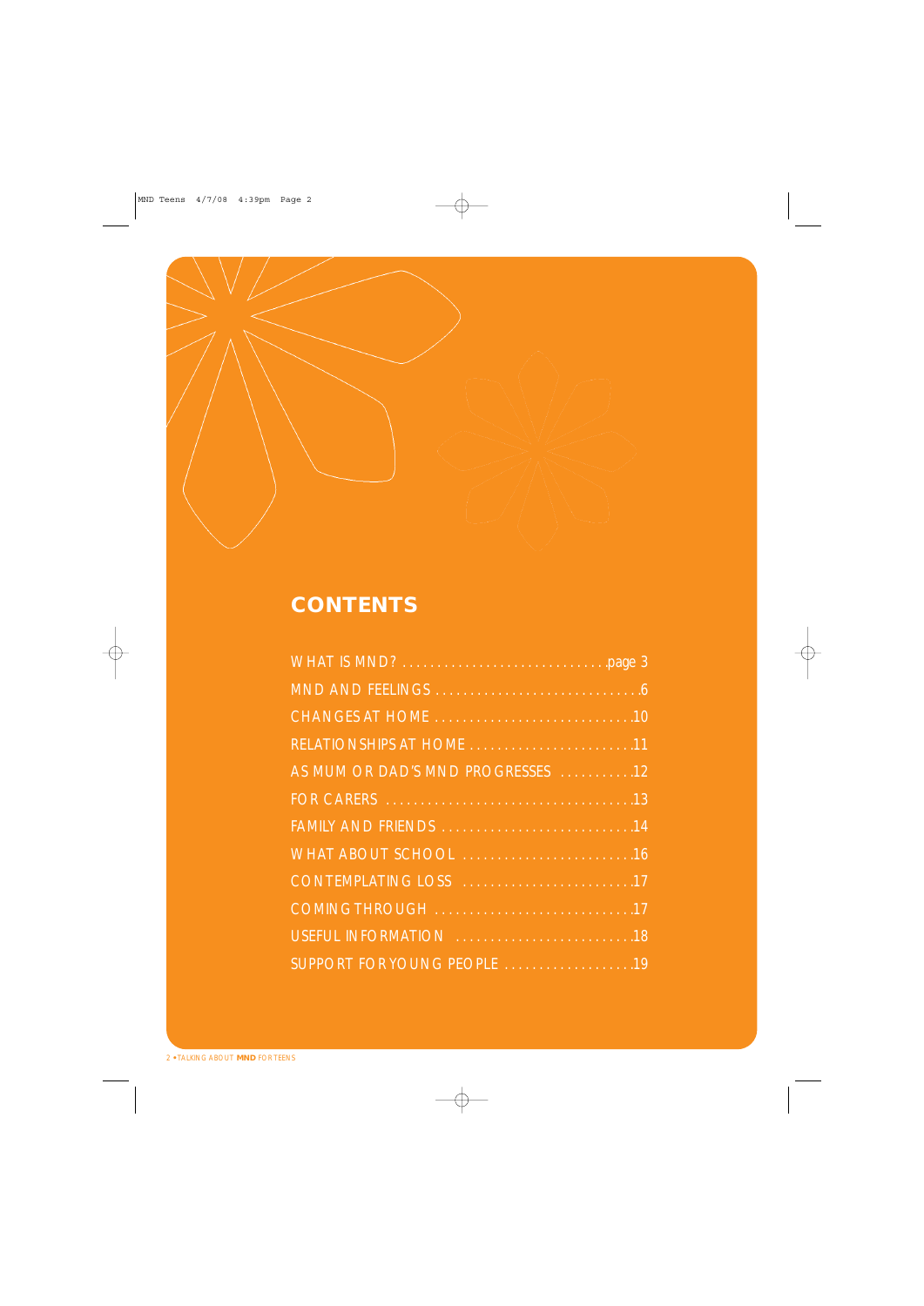

#### **CONTENTS**

| AS MUM OR DAD'S MND PROGRESSES 12       |
|-----------------------------------------|
|                                         |
|                                         |
|                                         |
| CONTEMPLATING LOSS And Allen Content 17 |
|                                         |
|                                         |
| SUPPORT FOR YOUNG PEOPLE 19             |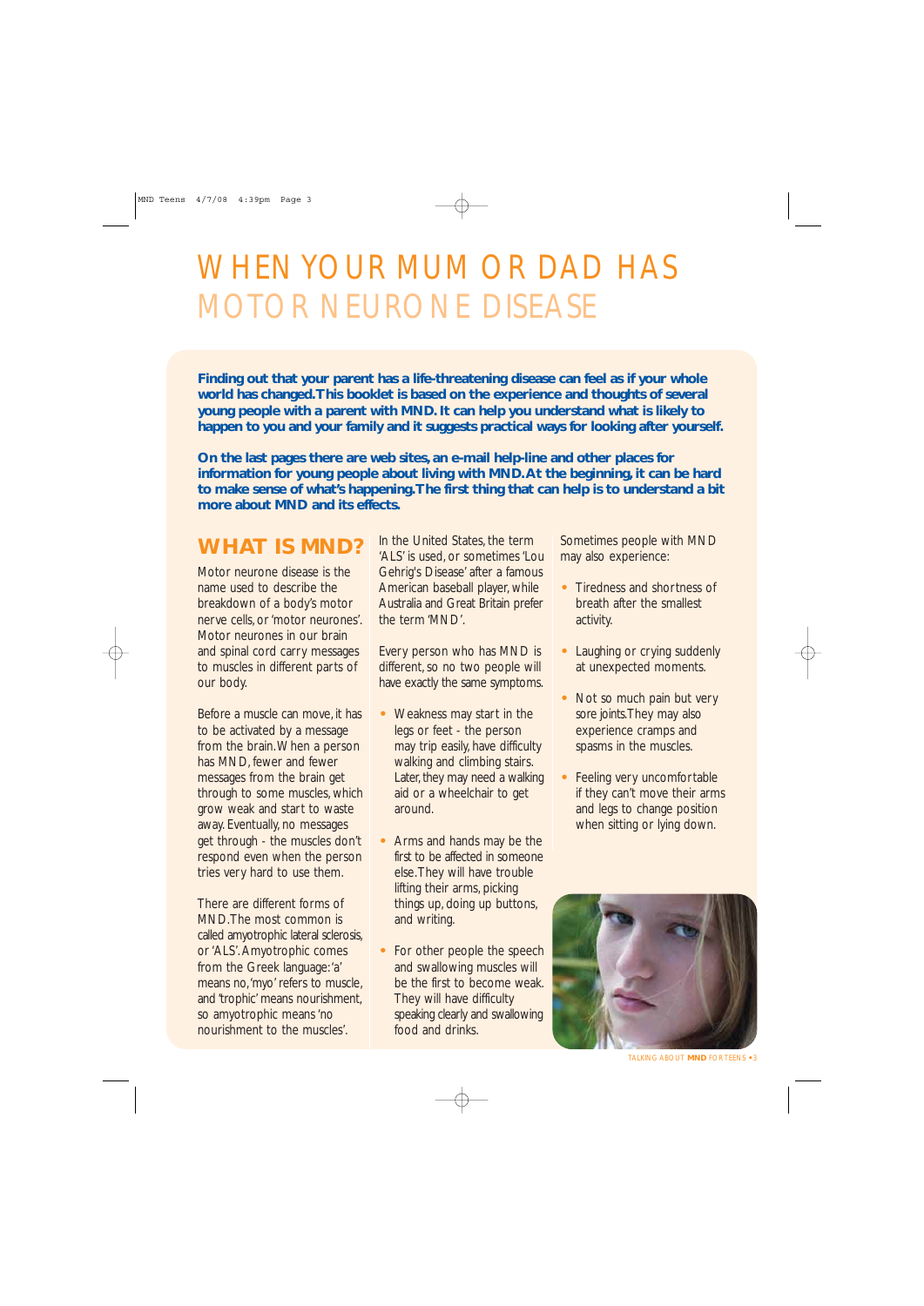### WHEN YOUR MUM OR DAD HAS MOTOR NEURONE DISEASE

**Finding out that your parent has a life-threatening disease can feel as if your whole world has changed.This booklet is based on the experience and thoughts of several young people with a parent with MND. It can help you understand what is likely to happen to you and your family and it suggests practical ways for looking after yourself.**

**On the last pages there are web sites, an e-mail help-line and other places for information for young people about living with MND.At the beginning, it can be hard to make sense of what's happening.The first thing that can help is to understand a bit more about MND and its effects.**

#### **WHAT IS MND?**

Motor neurone disease is the name used to describe the breakdown of a body's motor nerve cells, or 'motor neurones'. Motor neurones in our brain and spinal cord carry messages to muscles in different parts of our body.

Before a muscle can move, it has to be activated by a message from the brain.When a person has MND, fewer and fewer messages from the brain get through to some muscles, which grow weak and start to waste away. Eventually, no messages get through - the muscles don't respond even when the person tries very hard to use them.

There are different forms of MND.The most common is called amyotrophic lateral sclerosis, or 'ALS'. Amyotrophic comes from the Greek language:'a' means no,'myo' refers to muscle, and 'trophic' means nourishment, so amyotrophic means 'no nourishment to the muscles'.

In the United States, the term 'ALS' is used, or sometimes 'Lou Gehrig's Disease' after a famous American baseball player, while Australia and Great Britain prefer the term 'MND'.

Every person who has MND is different, so no two people will have exactly the same symptoms.

- **•** Weakness may start in the legs or feet - the person may trip easily, have difficulty walking and climbing stairs. Later, they may need a walking aid or a wheelchair to get around.
- **•** Arms and hands may be the first to be affected in someone else.They will have trouble lifting their arms, picking things up, doing up buttons, and writing.
- **•** For other people the speech and swallowing muscles will be the first to become weak. They will have difficulty speaking clearly and swallowing food and drinks.

Sometimes people with MND may also experience:

- **•** Tiredness and shortness of breath after the smallest activity.
- **•** Laughing or crying suddenly at unexpected moments.
- **•** Not so much pain but very sore joints.They may also experience cramps and spasms in the muscles.
- **•** Feeling very uncomfortable if they can't move their arms and legs to change position when sitting or lying down.



TALKING ABOUT **MND** FOR TEENS **•** 3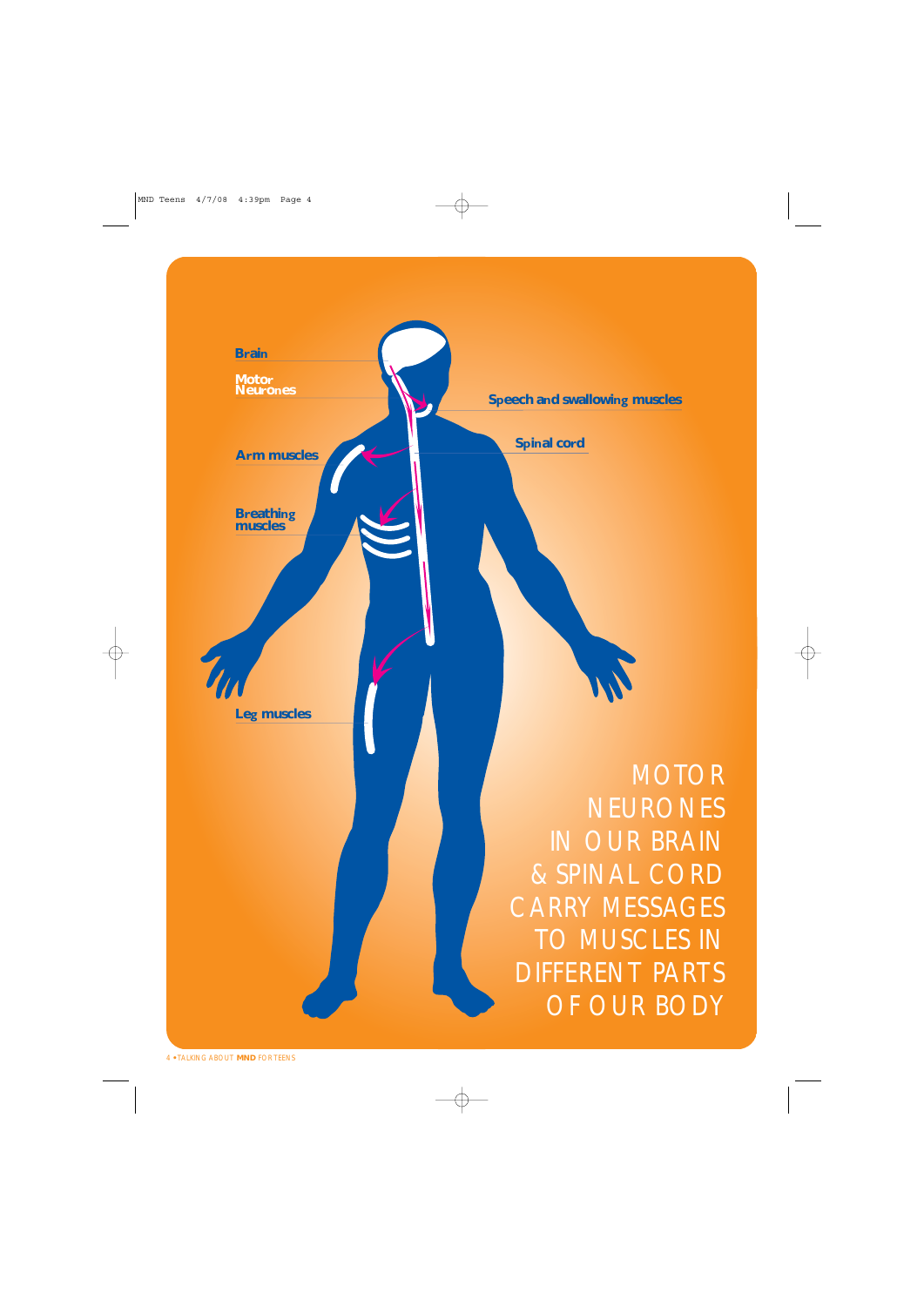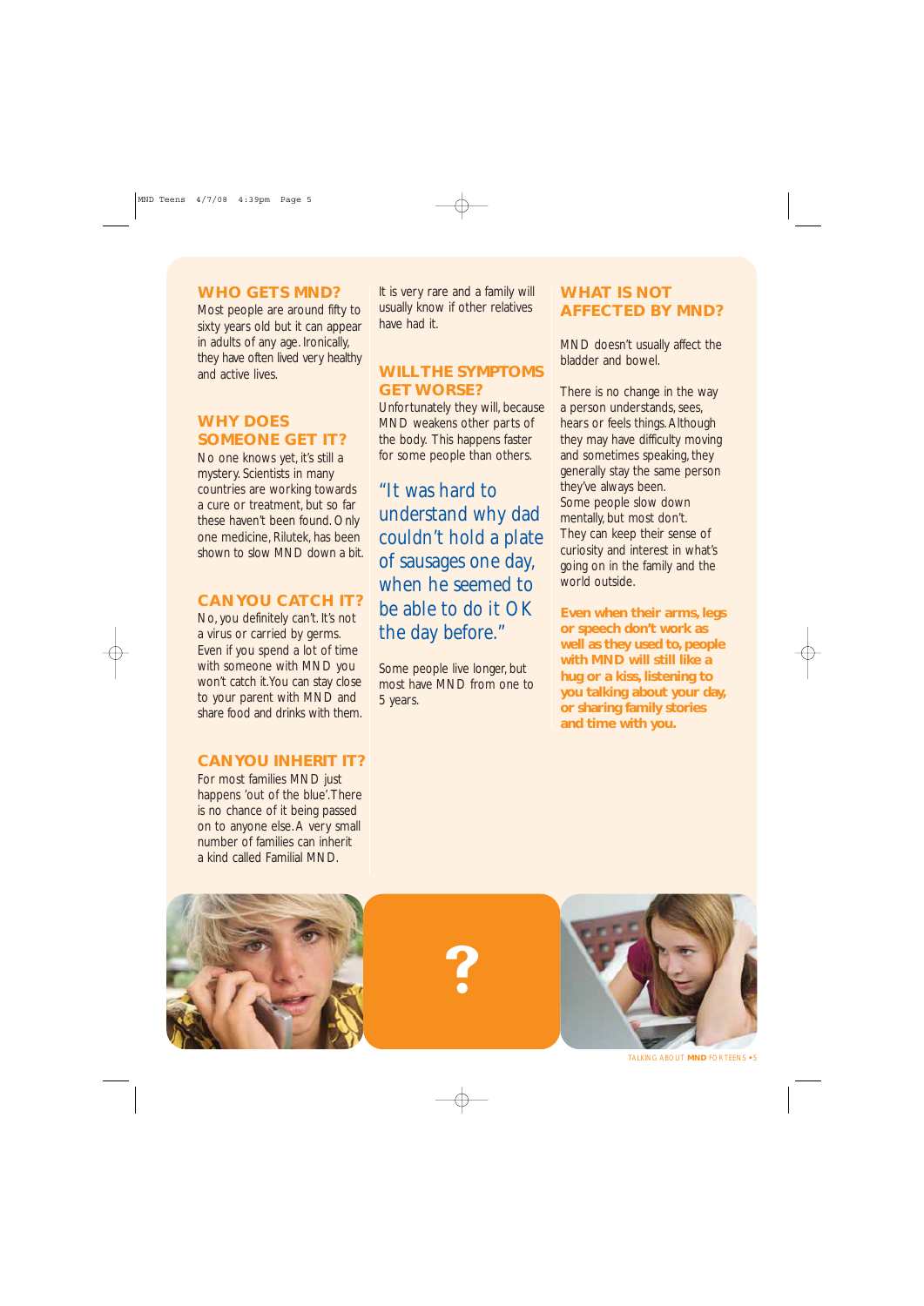#### **WHO GETS MND?**

Most people are around fifty to sixty years old but it can appear in adults of any age. Ironically, they have often lived very healthy and active lives.

#### **WHY DOES SOMEONE GET IT?**

No one knows yet, it's still a mystery. Scientists in many countries are working towards a cure or treatment, but so far these haven't been found. Only one medicine, Rilutek, has been shown to slow MND down a bit.

#### **CAN YOU CATCH IT?**

No, you definitely can't. It's not a virus or carried by germs. Even if you spend a lot of time with someone with MND you won't catch it.You can stay close to your parent with MND and share food and drinks with them.

#### **CAN YOU INHERIT IT?**

For most families MND just happens 'out of the blue'.There is no chance of it being passed on to anyone else. A very small number of families can inherit



It is very rare and a family will usually know if other relatives have had it.

#### **WILL THE SYMPTOMS GET WORSE?**

Unfortunately they will, because MND weakens other parts of the body. This happens faster for some people than others.

"It was hard to understand why dad couldn't hold a plate of sausages one day, when he seemed to be able to do it OK the day before."

Some people live longer, but most have MND from one to 5 years.

#### **WHAT IS NOT AFFECTED BY MND?**

MND doesn't usually affect the bladder and bowel.

There is no change in the way a person understands, sees, hears or feels things. Although they may have difficulty moving and sometimes speaking, they generally stay the same person they've always been. Some people slow down mentally, but most don't. They can keep their sense of curiosity and interest in what's going on in the family and the world outside.

**Even when their arms, legs or speech don't work as well as they used to, people with MND will still like a hug or a kiss, listening to you talking about your day, or sharing family stories and time with you.**

-



TALKING ABOUT **MND** FOR TEENS **•** 5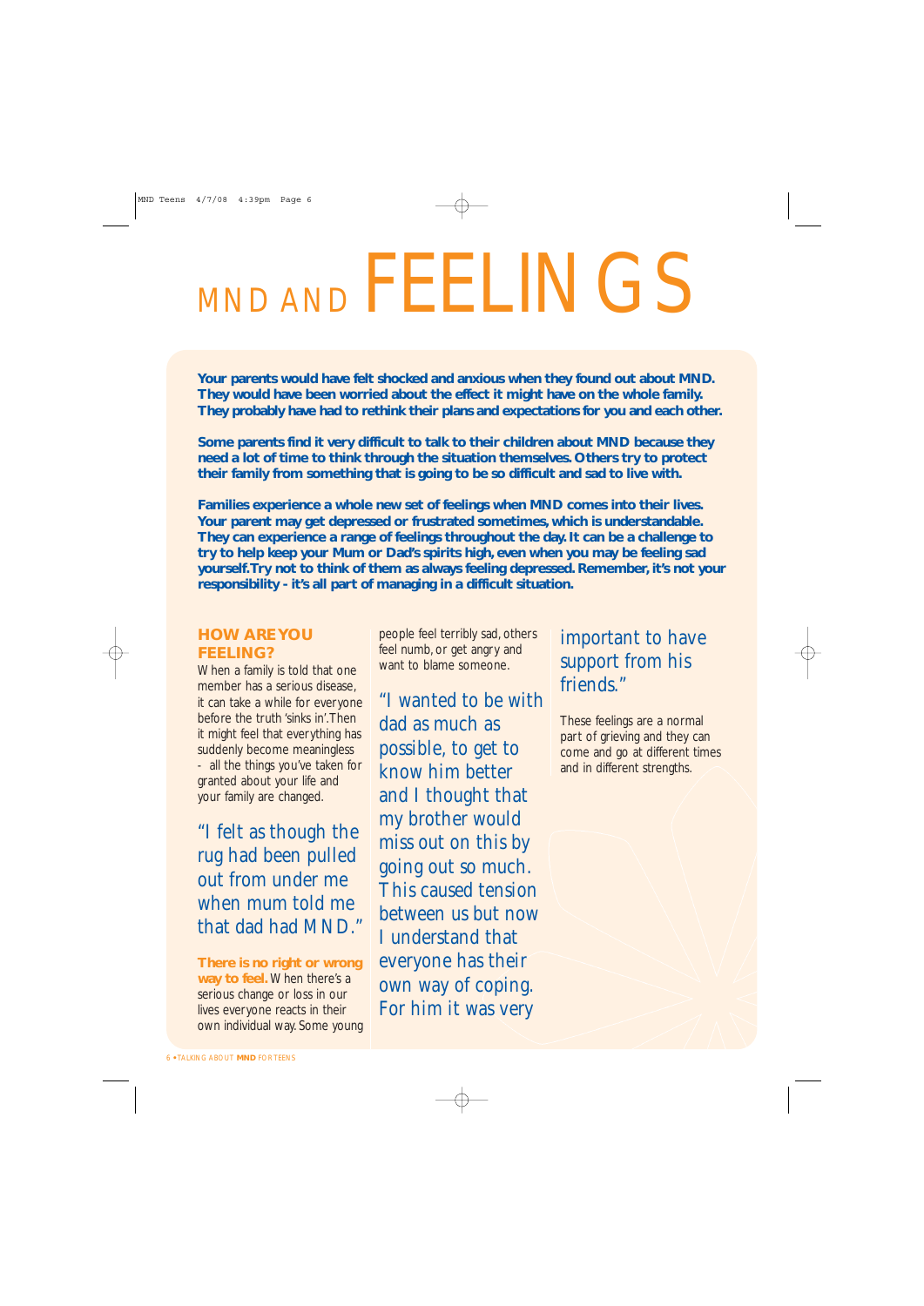# MND AND FEELINGS

**Your parents would have felt shocked and anxious when they found out about MND. They would have been worried about the effect it might have on the whole family. They probably have had to rethink their plans and expectations for you and each other.**

**Some parents find it very difficult to talk to their children about MND because they need a lot of time to think through the situation themselves. Others try to protect their family from something that is going to be so difficult and sad to live with.**

**Families experience a whole new set of feelings when MND comes into their lives. Your parent may get depressed or frustrated sometimes, which is understandable. They can experience a range of feelings throughout the day. It can be a challenge to try to help keep your Mum or Dad's spirits high, even when you may be feeling sad yourself.Try not to think of them as always feeling depressed. Remember, it's not your responsibility - it's all part of managing in a difficult situation.**

#### **HOW ARE YOU FEELING?**

When a family is told that one member has a serious disease, it can take a while for everyone before the truth 'sinks in'.Then it might feel that everything has suddenly become meaningless - all the things you've taken for granted about your life and your family are changed.

"I felt as though the rug had been pulled out from under me when mum told me that dad had MND."

**There is no right or wrong way to feel.** When there's a serious change or loss in our lives everyone reacts in their own individual way. Some young

people feel terribly sad, others feel numb, or get angry and want to blame someone.

"I wanted to be with dad as much as possible, to get to know him better and I thought that my brother would miss out on this by going out so much. This caused tension between us but now I understand that everyone has their own way of coping. For him it was very

#### important to have support from his friends."

These feelings are a normal part of grieving and they can come and go at different times and in different strengths.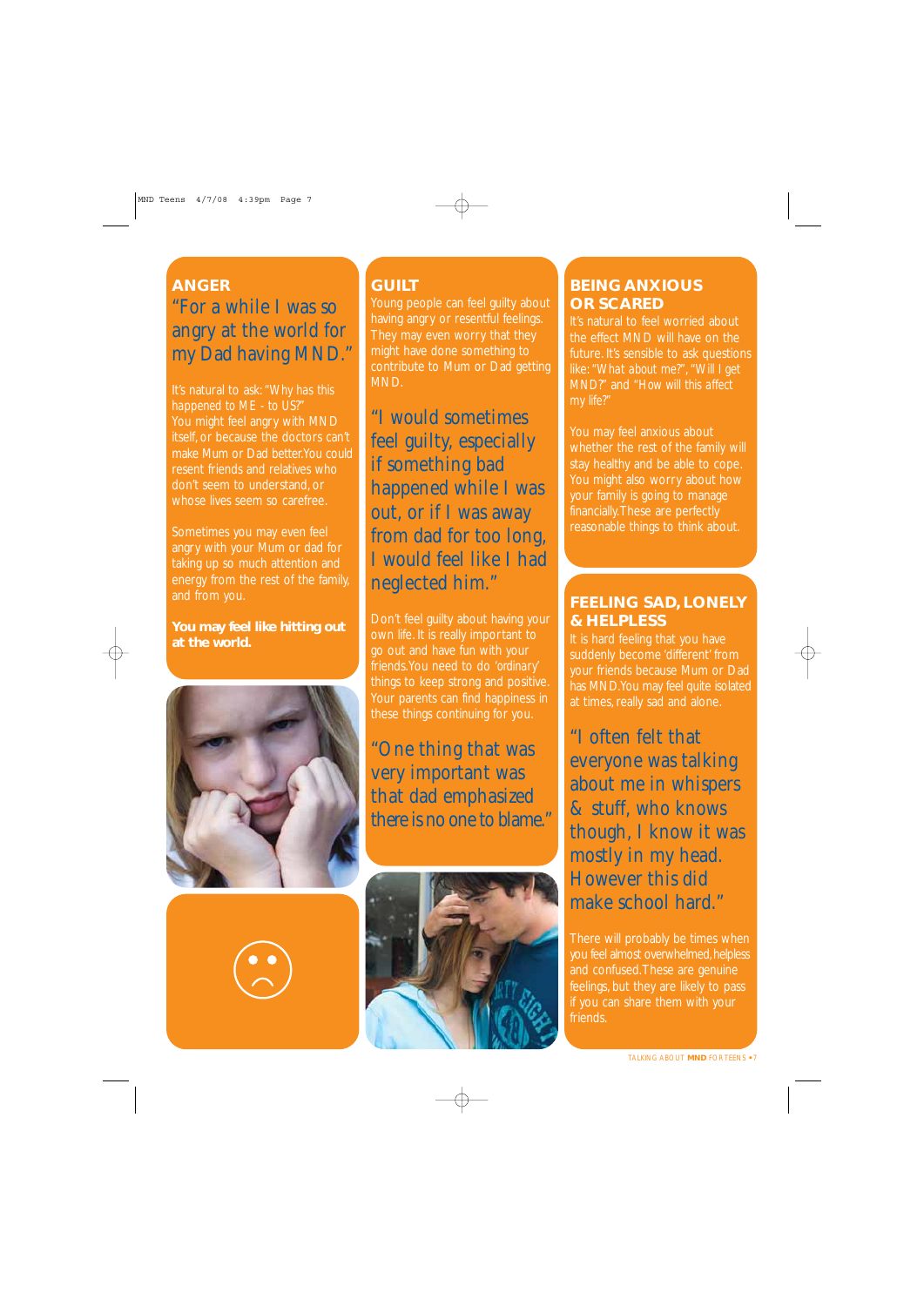#### **ANGER** "For a while I was so angry at the world for my Dad having MND."

*happened to ME - to US?"* You might feel angry with MND itself, or because the doctors can't make Mum or Dad better.You could resent friends and relatives who don't seem to understand, or whose lives seem so carefree.

angry with your Mum or dad for taking up so much attention and energy from the rest of the family, and from you.

**You may feel like hitting out at the world.**



#### **GUILT**

Young people can feel quilty about having angry or resentful feelings. They may even worry that they might have done something to contribute to Mum or Dad getting MND.

"I would sometimes feel guilty, especially if something bad happened while I was out, or if I was away from dad for too long, I would feel like I had neglected him."

Don't feel guilty about having your own life. It is really important to go out and have fun with your friends.You need to do *'ordinary'* things to keep strong and positive. Your parents can find happiness in these things continuing for you.

#### "One thing that was very important was that dad emphasized there is no one to blame."



#### **BEING ANXIOUS OR SCARED**

It's natural to feel worried about the effect MND will have on the future. It's sensible to ask questions like: *"What about me?"*, *"Will I get MND?"* and *"How will this affect my life?"*

You may feel anxious about whether the rest of the family will stay healthy and be able to cope. You might also worry about how your family is going to manage financially.These are perfectly reasonable things to think about.

#### **FEELING SAD, LONELY & HELPLESS**

It is hard feeling that you have suddenly become 'different' from your friends because Mum or Dad has MND.You may feel quite isolated at times, really sad and alone.

"I often felt that everyone was talking about me in whispers & stuff, who knows though, I know it was mostly in my head. However this did make school hard."

There will probably be times when you feel almost overwhelmed, helpless and confused.These are genuine feelings, but they are likely to pass if you can share them with your friends.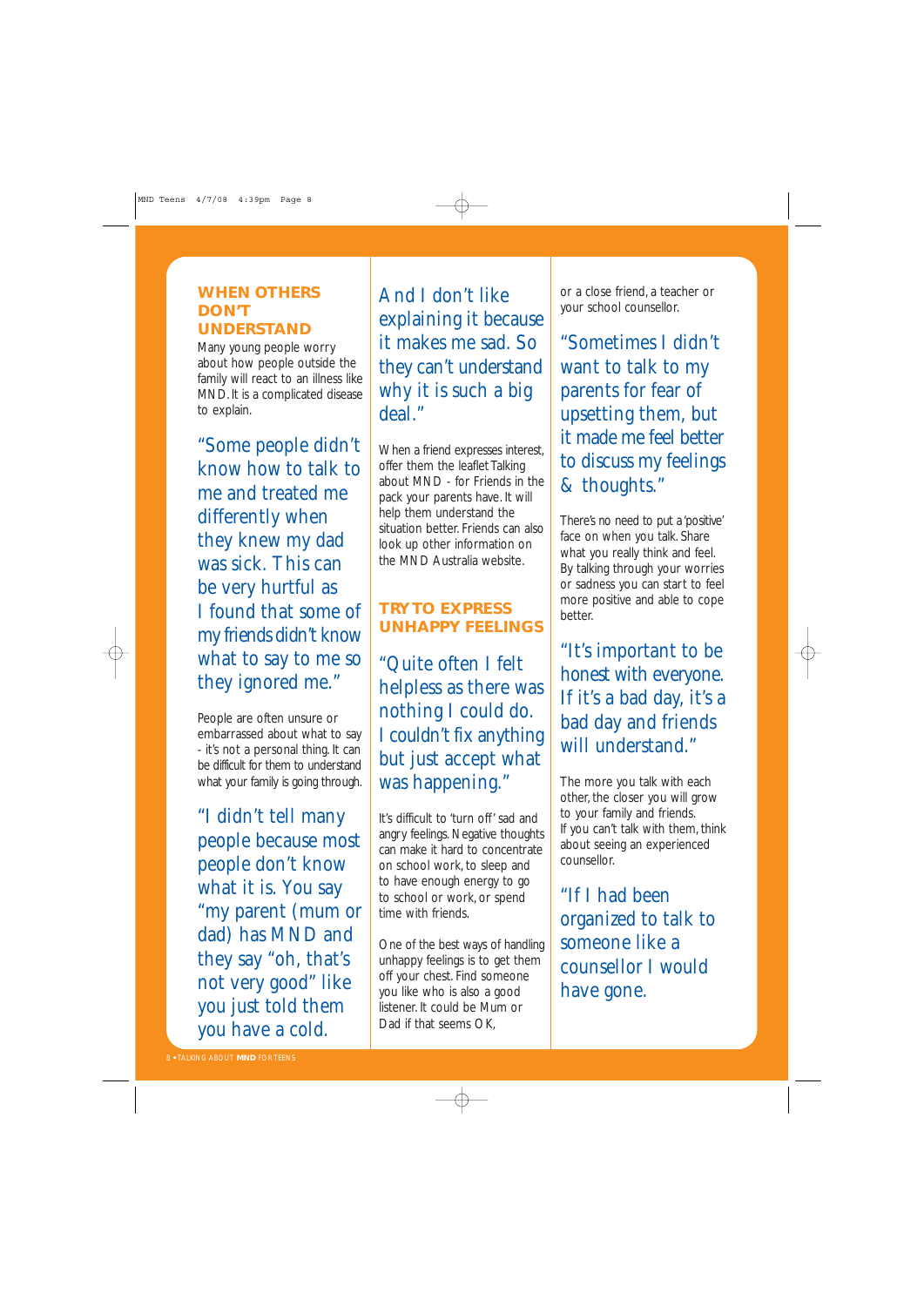#### **WHEN OTHERS DON'T UNDERSTAND**

Many young people worry about how people outside the family will react to an illness like MND. It is a complicated disease to explain.

"Some people didn't know how to talk to me and treated me differently when they knew my dad was sick. This can be very hurtful as I found that some of my friends didn't know what to say to me so they ignored me."

People are often unsure or embarrassed about what to say - it's not a personal thing. It can be difficult for them to understand what your family is going through.

"I didn't tell many people because most people don't know what it is. You say "my parent (mum or dad) has MND and they say "oh, that's not very good" like you just told them you have a cold.

And I don't like explaining it because it makes me sad. So they can't understand why it is such a big deal."

When a friend expresses interest, offer them the leaflet Talking about MND - for Friends in the pack your parents have. It will help them understand the situation better. Friends can also look up other information on the MND Australia website.

#### **TRY TO EXPRESS UNHAPPY FEELINGS**

"Quite often I felt helpless as there was nothing I could do. I couldn't fix anything but just accept what was happening."

It's difficult to 'turn off' sad and angry feelings. Negative thoughts can make it hard to concentrate on school work, to sleep and to have enough energy to go to school or work, or spend time with friends.

One of the best ways of handling unhappy feelings is to get them off your chest. Find someone you like who is also a good listener. It could be Mum or Dad if that seems OK,

or a close friend, a teacher or your school counsellor.

"Sometimes I didn't want to talk to my parents for fear of upsetting them, but it made me feel better to discuss my feelings & thoughts."

There's no need to put a 'positive' face on when you talk. Share what you really think and feel. By talking through your worries or sadness you can start to feel more positive and able to cope better.

"It's important to be honest with everyone. If it's a bad day, it's a bad day and friends will understand."

The more you talk with each other, the closer you will grow to your family and friends. If you can't talk with them, think about seeing an experienced counsellor.

"If I had been organized to talk to someone like a counsellor I would have gone.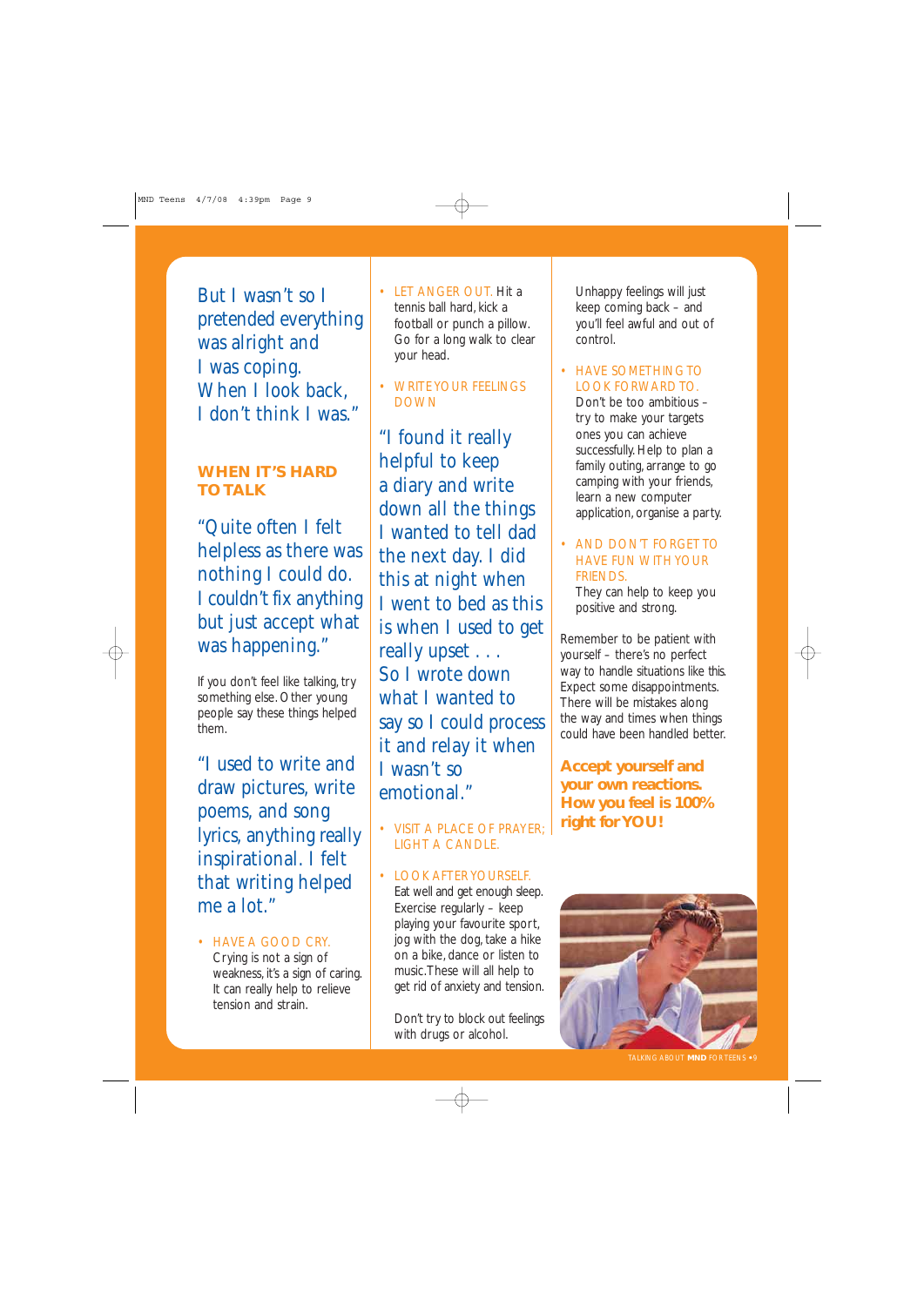But I wasn't so I pretended everything was alright and I was coping. When I look back, I don't think I was."

#### **WHEN IT'S HARD TO TALK**

"Quite often I felt helpless as there was nothing I could do. I couldn't fix anything but just accept what was happening."

If you don't feel like talking, try something else. Other young people say these things helped them.

"I used to write and draw pictures, write poems, and song lyrics, anything really inspirational. I felt that writing helped me a lot."

• HAVE A GOOD CRY. Crying is not a sign of weakness, it's a sign of caring. It can really help to relieve tension and strain.

- LET ANGER OUT. Hit a tennis ball hard, kick a football or punch a pillow. Go for a long walk to clear your head.
- WRITE YOUR FEELINGS DOWN

"I found it really helpful to keep a diary and write down all the things I wanted to tell dad the next day. I did this at night when I went to bed as this is when I used to get really upset . . . So I wrote down what I wanted to say so I could process it and relay it when I wasn't so emotional"

- VISIT A PLACE OF PRAYER; LIGHT A CANDLE.
- LOOK AFTER YOURSELF. Eat well and get enough sleep. Exercise regularly – keep playing your favourite sport, jog with the dog, take a hike on a bike, dance or listen to music.These will all help to get rid of anxiety and tension.

Don't try to block out feelings with drugs or alcohol.

Unhappy feelings will just keep coming back – and you'll feel awful and out of control.

• HAVE SOMETHING TO LOOK FORWARD TO.

Don't be too ambitious – try to make your targets ones you can achieve successfully. Help to plan a family outing, arrange to go camping with your friends, learn a new computer application, organise a party.

• AND DON'T FORGET TO HAVE FUN WITH YOUR FRIENDS.

They can help to keep you positive and strong.

Remember to be patient with yourself – there's no perfect way to handle situations like this. Expect some disappointments. There will be mistakes along the way and times when things could have been handled better.

**Accept yourself and your own reactions. How you feel is 100% right for YOU!**

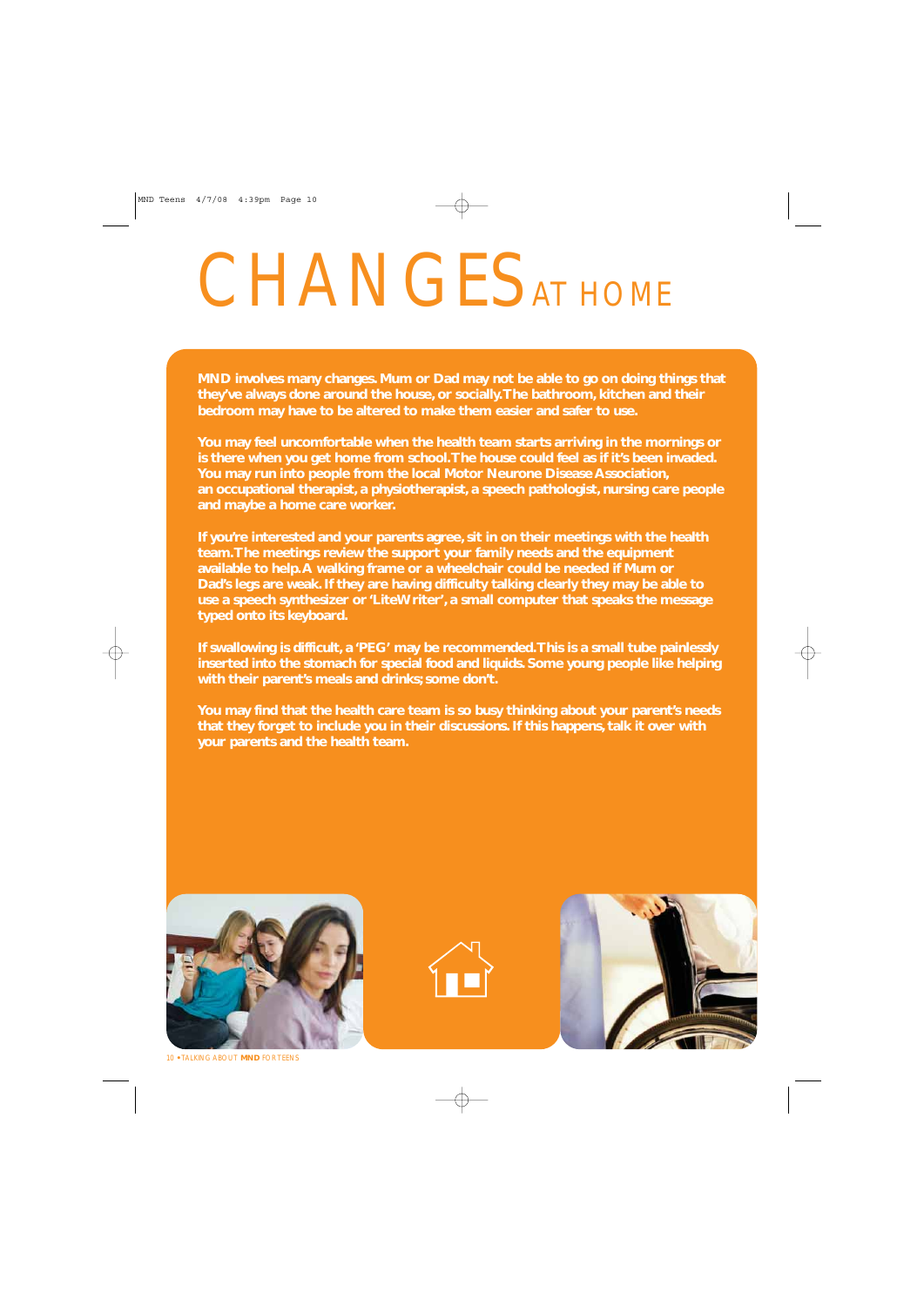# CHANGES AT HOME

**MND involves many changes. Mum or Dad may not be able to go on doing things that they've always done around the house, or socially.The bathroom, kitchen and their bedroom may have to be altered to make them easier and safer to use.**

**You may feel uncomfortable when the health team starts arriving in the mornings or is there when you get home from school.The house could feel as if it's been invaded. You may run into people from the local Motor Neurone Disease Association, an occupational therapist, a physiotherapist, a speech pathologist, nursing care people and maybe a home care worker.**

**If you're interested and your parents agree, sit in on their meetings with the health team.The meetings review the support your family needs and the equipment available to help.A walking frame or a wheelchair could be needed if Mum or Dad's legs are weak. If they are having difficulty talking clearly they may be able to use a speech synthesizer or 'LiteWriter', a small computer that speaks the message typed onto its keyboard.**

**If swallowing is difficult, a 'PEG' may be recommended.This is a small tube painlessly inserted into the stomach for special food and liquids. Some young people like helping with their parent's meals and drinks; some don't.**

**You may find that the health care team is so busy thinking about your parent's needs that they forget to include you in their discussions. If this happens, talk it over with your parents and the health team.**







10 **•** TALKING ABOUT **MND** FOR TEENS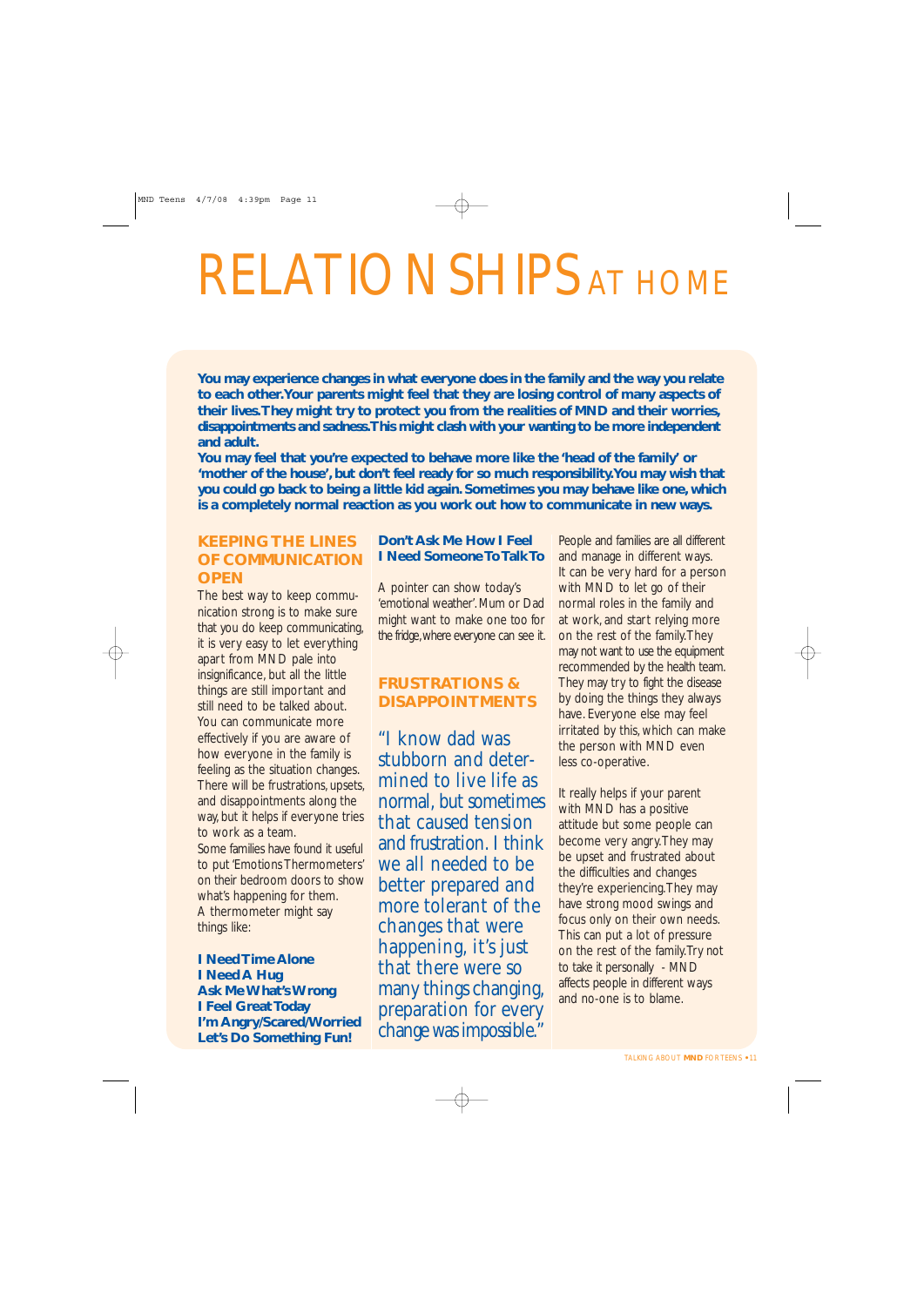## RELATIONSHIPS AT HOME

**You may experience changes in what everyone does in the family and the way you relate to each other.Your parents might feel that they are losing control of many aspects of their lives.They might try to protect you from the realities of MND and their worries, disappointments and sadness.This might clash with your wanting to be more independent and adult.**

**You may feel that you're expected to behave more like the 'head of the family' or 'mother of the house', but don't feel ready for so much responsibility.You may wish that you could go back to being a little kid again. Sometimes you may behave like one, which is a completely normal reaction as you work out how to communicate in new ways.**

#### **KEEPING THE LINES OF COMMUNICATION OPEN**

The best way to keep communication strong is to make sure that you do keep communicating, it is very easy to let everything apart from MND pale into insignificance, but all the little things are still important and still need to be talked about. You can communicate more effectively if you are aware of how everyone in the family is feeling as the situation changes. There will be frustrations, upsets, and disappointments along the way, but it helps if everyone tries to work as a team.

Some families have found it useful to put 'Emotions Thermometers' on their bedroom doors to show what's happening for them. A thermometer might say things like:

**I Need Time Alone I Need A Hug Ask Me What's Wrong I Feel Great Today I'm Angry/Scared/Worried Let's Do Something Fun!**

#### **Don't Ask Me How I Feel I Need Someone To Talk To**

A pointer can show today's 'emotional weather'. Mum or Dad might want to make one too for the fridge,where everyone can see it.

#### **FRUSTRATIONS & DISAPPOINTMENTS**

"I know dad was stubborn and determined to live life as normal, but sometimes that caused tension and frustration. I think we all needed to be better prepared and more tolerant of the changes that were happening, it's just that there were so many things changing, preparation for every change was impossible."

People and families are all different and manage in different ways. It can be very hard for a person with MND to let go of their normal roles in the family and at work, and start relying more on the rest of the family.They may not want to use the equipment recommended by the health team. They may try to fight the disease by doing the things they always have. Everyone else may feel irritated by this, which can make the person with MND even less co-operative.

It really helps if your parent with MND has a positive attitude but some people can become very angry.They may be upset and frustrated about the difficulties and changes they're experiencing.They may have strong mood swings and focus only on their own needs. This can put a lot of pressure on the rest of the family.Try not to take it personally - MND affects people in different ways and no-one is to blame.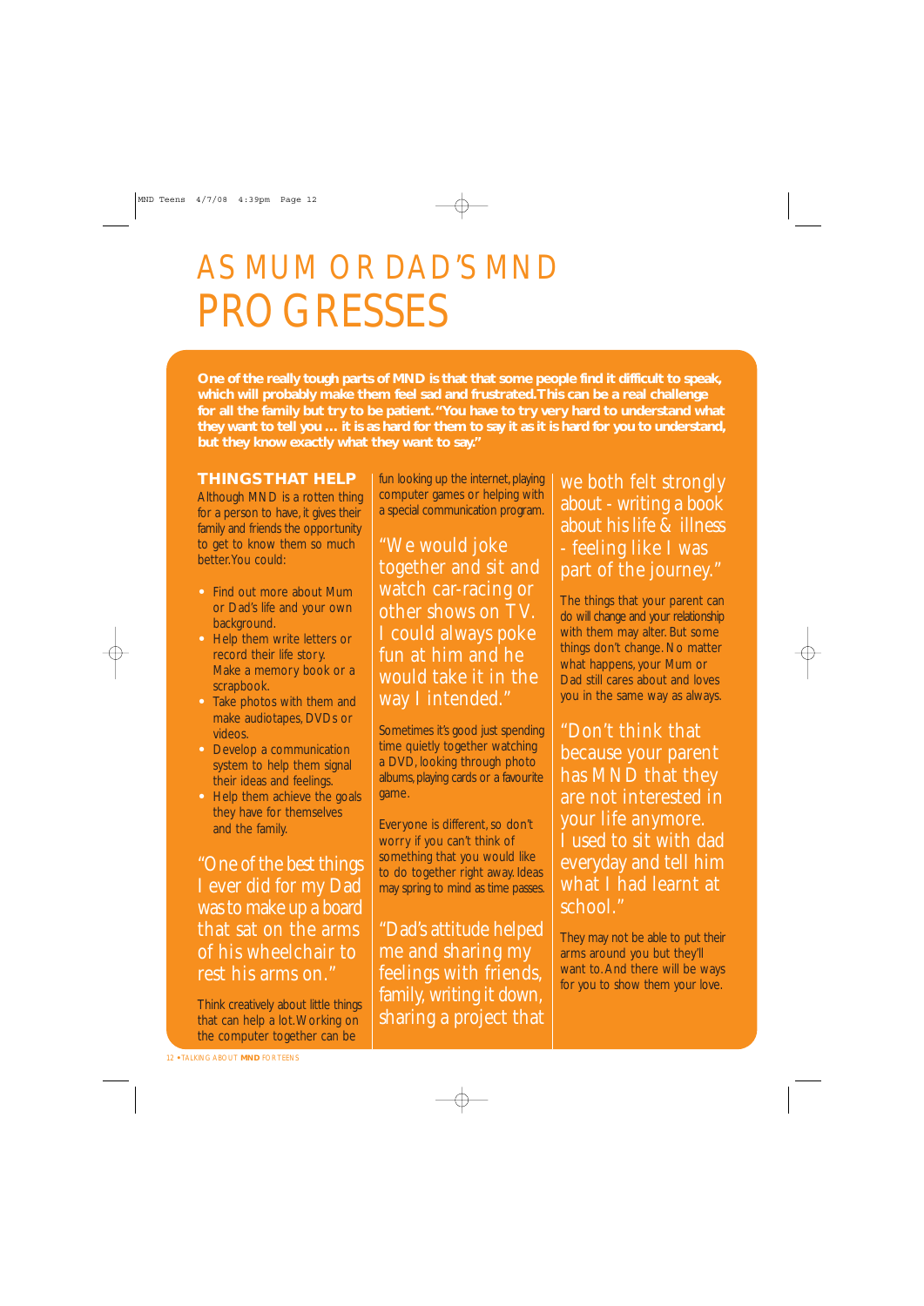### AS MUM OR DAD'S MND PROGRESSES

**One of the really tough parts of MND is that that some people find it difficult to speak, which will probably make them feel sad and frustrated.This can be a real challenge for all the family but try to be patient."You have to try very hard to understand what they want to tell you … it is as hard for them to say it as it is hard for you to understand, but they know exactly what they want to say."**

#### **THINGS THAT HELP**

Although MND is a rotten thing for a person to have, it gives their family and friends the opportunity to get to know them so much better.You could:

- **•** Find out more about Mum or Dad's life and your own background.
- **•** Help them write letters or record their life story. **•** Make a memory book or a scrapbook.
- **•** Take photos with them and make audiotapes, DVDs or videos.
- **•** Develop a communication system to help them signal their ideas and feelings.
- **•** Help them achieve the goals they have for themselves and the family.

"One of the best things I ever did for my Dad was to make up a board that sat on the arms of his wheelchair to rest his arms on."

Think creatively about little things that can help a lot.Working on the computer together can be

fun looking up the internet, playing computer games or helping with a special communication program.

"We would joke together and sit and watch car-racing or other shows on TV. I could always poke fun at him and he would take it in the way I intended."

Sometimes it's good just spending time quietly together watching a DVD, looking through photo albums, playing cards or a favourite game.

Everyone is different, so don't worry if you can't think of something that you would like to do together right away. Ideas may spring to mind as time passes.

"Dad's attitude helped me and sharing my feelings with friends, family, writing it down, sharing a project that we both felt strongly about - writing a book about his life & illness - feeling like I was part of the journey."

The things that your parent can do will change and your relationship with them may alter. But some things don't change. No matter what happens, your Mum or Dad still cares about and loves you in the same way as always.

"Don't think that because your parent has MND that they are not interested in your life anymore. I used to sit with dad everyday and tell him what I had learnt at school."

They may not be able to put their arms around you but they'll want to. And there will be ways for you to show them your love.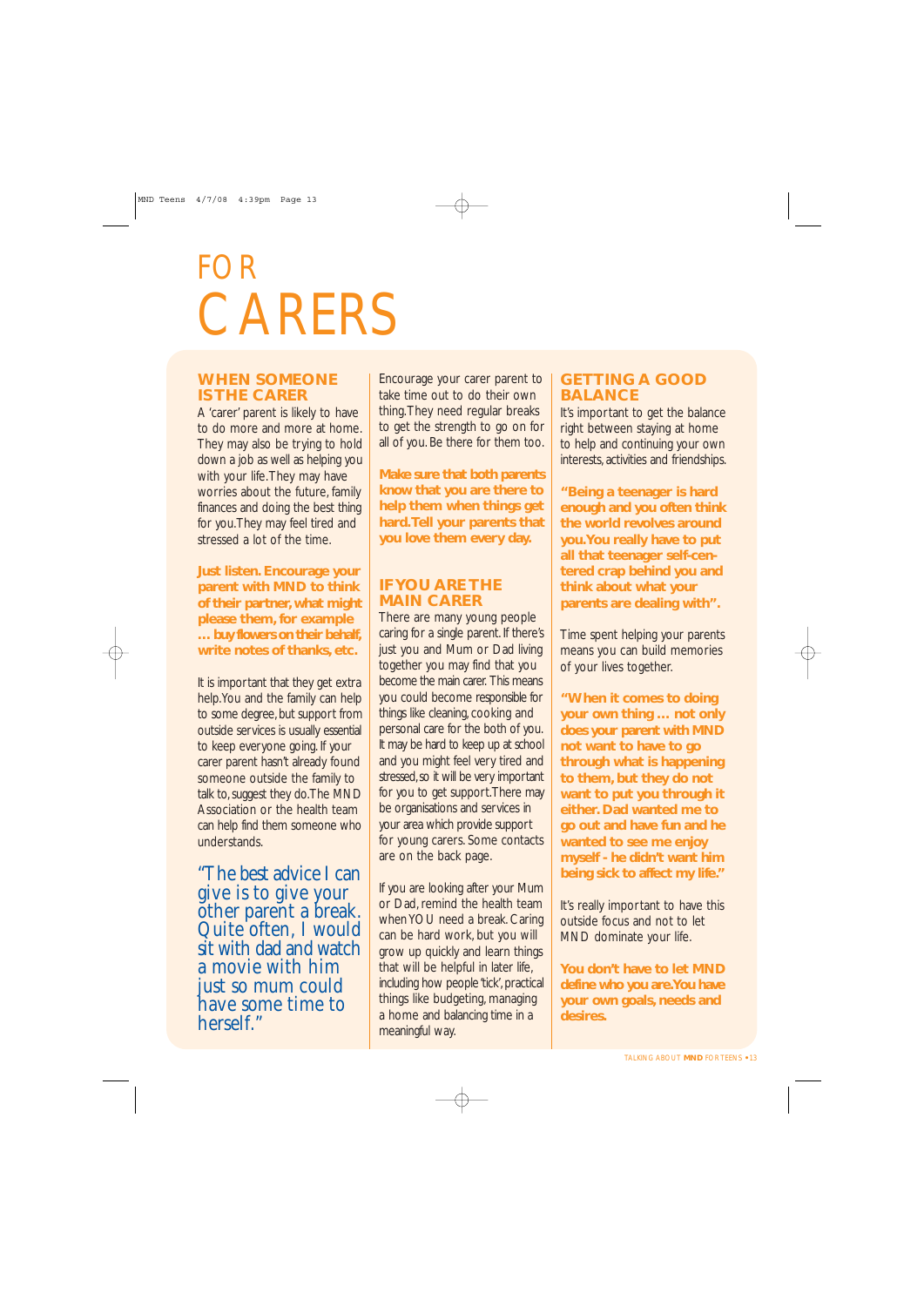### FOR **CARERS**

#### **WHEN SOMEONE IS THE CARER**

A 'carer' parent is likely to have to do more and more at home. They may also be trying to hold down a job as well as helping you with your life. They may have worries about the future, family finances and doing the best thing for you.They may feel tired and stressed a lot of the time.

**Just listen. Encourage your parent with MND to think of their partner, what might please them, for example … buy flowers on their behalf, write notes of thanks, etc.**

It is important that they get extra help.You and the family can help to some degree, but support from outside services is usually essential to keep everyone going. If your carer parent hasn't already found someone outside the family to talk to, suggest they do.The MND Association or the health team can help find them someone who understands.

"The best advice I can give is to give your other parent a break. Quite often, I would sit with dad and watch a movie with him just so mum could have some time to herself"

Encourage your carer parent to take time out to do their own thing.They need regular breaks to get the strength to go on for all of you. Be there for them too.

**Make sure that both parents know that you are there to help them when things get hard.Tell your parents that you love them every day.**

#### **IF YOU ARE THE MAIN CARER**

There are many young people caring for a single parent. If there's just you and Mum or Dad living together you may find that you become the main carer. This means you could become responsible for things like cleaning, cooking and personal care for the both of you. It may be hard to keep up at school and you might feel very tired and stressed, so it will be very important for you to get support.There may be organisations and services in your area which provide support for young carers. Some contacts are on the back page.

If you are looking after your Mum or Dad, remind the health team when YOU need a break. Caring can be hard work, but you will grow up quickly and learn things that will be helpful in later life, including how people 'tick', practical things like budgeting, managing a home and balancing time in a meaningful way.

#### **GETTING A GOOD BALANCE**

It's important to get the balance right between staying at home to help and continuing your own interests, activities and friendships.

**"Being a teenager is hard enough and you often think the world revolves around you.You really have to put all that teenager self-centered crap behind you and think about what your parents are dealing with".**

Time spent helping your parents means you can build memories of your lives together.

**"When it comes to doing your own thing … not only does your parent with MND not want to have to go through what is happening to them, but they do not want to put you through it either. Dad wanted me to go out and have fun and he wanted to see me enjoy myself - he didn't want him being sick to affect my life."**

It's really important to have this outside focus and not to let MND dominate your life.

**You don't have to let MND define who you are.You have your own goals, needs and desires.**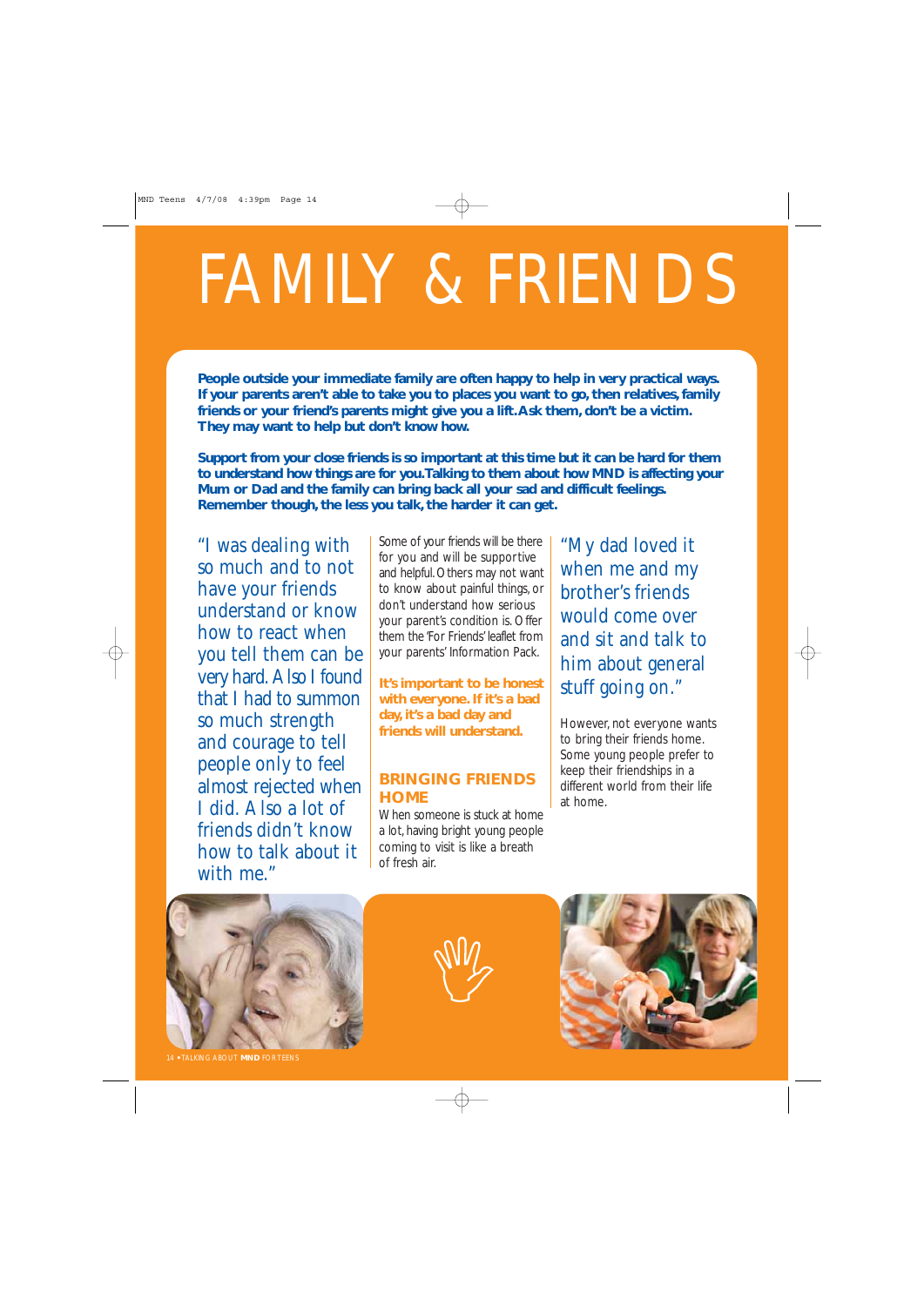# FAMILY & FRIENDS

**People outside your immediate family are often happy to help in very practical ways. If your parents aren't able to take you to places you want to go, then relatives, family friends or your friend's parents might give you a lift.Ask them, don't be a victim. They may want to help but don't know how.**

**Support from your close friends is so important at this time but it can be hard for them to understand how things are for you.Talking to them about how MND is affecting your Mum or Dad and the family can bring back all your sad and difficult feelings. Remember though, the less you talk, the harder it can get.**

"I was dealing with so much and to not have your friends understand or know how to react when you tell them can be very hard. Also I found that I had to summon so much strength and courage to tell people only to feel almost rejected when I did. Also a lot of friends didn't know how to talk about it with me."

Some of your friends will be there for you and will be supportive and helpful. Others may not want to know about painful things, or don't understand how serious your parent's condition is. Offer them the 'For Friends' leaflet from your parents' Information Pack.

**It's important to be honest with everyone. If it's a bad day, it's a bad day and friends will understand.**

#### **BRINGING FRIENDS HOME**

When someone is stuck at home a lot, having bright young people coming to visit is like a breath of fresh air.

"My dad loved it when me and my brother's friends would come over and sit and talk to him about general stuff going on."

However, not everyone wants to bring their friends home. Some young people prefer to keep their friendships in a different world from their life at home.



14 **•** TALKING ABOUT **MND** FOR TEENS



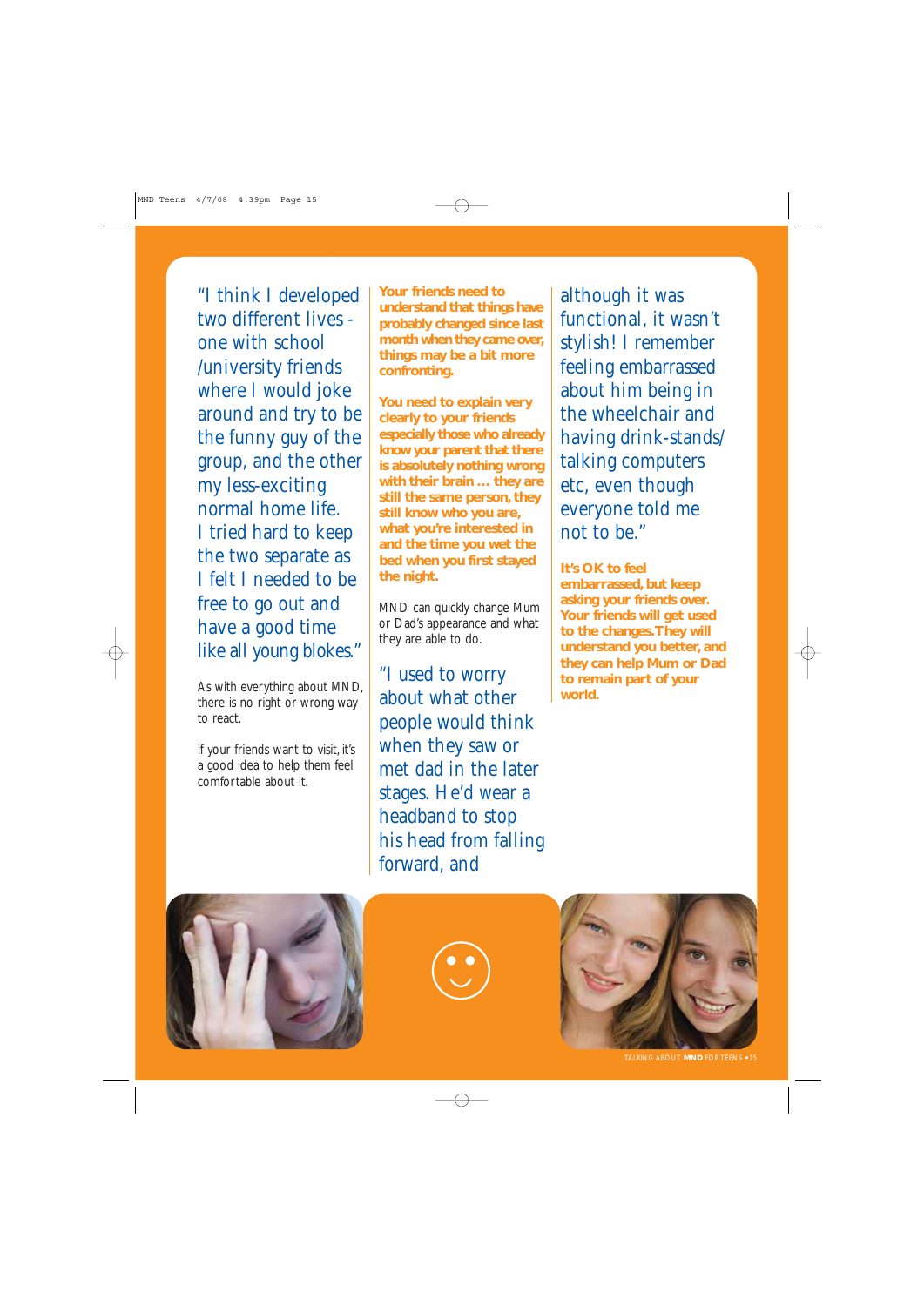"I think I developed two different lives one with school /university friends where I would joke around and try to be the funny guy of the group, and the other my less-exciting normal home life. I tried hard to keep the two separate as I felt I needed to be free to go out and have a good time like all young blokes."

As with everything about MND, there is no right or wrong way to react.

If your friends want to visit, it's a good idea to help them feel comfortable about it.

**Your friends need to understand that things have probably changed since last month when they came over, things may be a bit more confronting.**

**You need to explain very clearly to your friends especially those who already know your parent that there is absolutely nothing wrong with their brain … they are still the same person, they still know who you are, what you're interested in and the time you wet the bed when you first stayed the night.**

MND can quickly change Mum or Dad's appearance and what they are able to do.

"I used to worry about what other people would think when they saw or met dad in the later stages. He'd wear a headband to stop his head from falling forward, and

although it was functional, it wasn't stylish! I remember feeling embarrassed about him being in the wheelchair and having drink-stands/ talking computers etc, even though everyone told me not to be."

**It's OK to feel embarrassed, but keep asking your friends over. Your friends will get used to the changes.They will understand you better, and they can help Mum or Dad to remain part of your world.**







TALKING ABOUT **MND** FOR TEENS **•** 15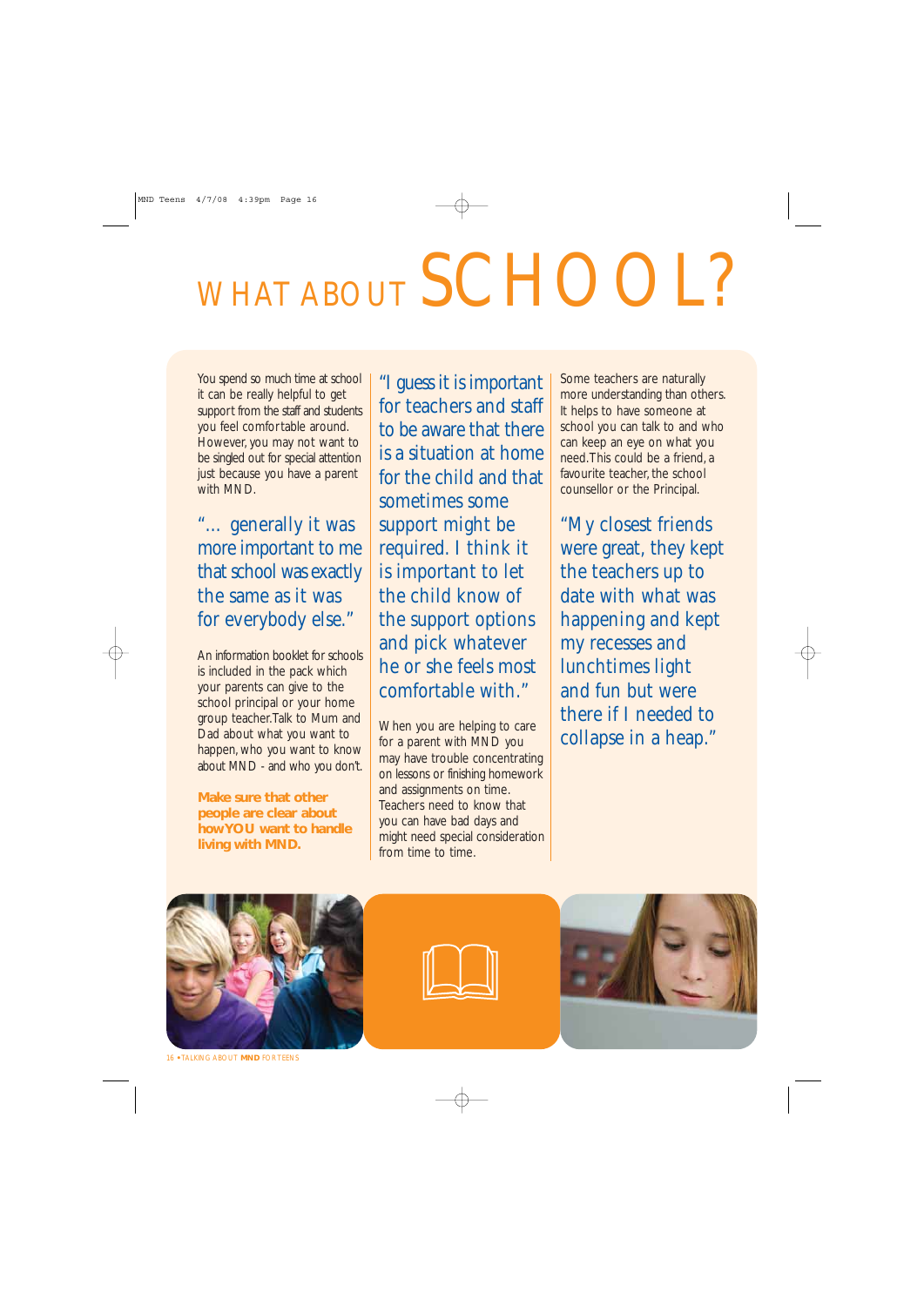# WHAT ABOUT SCHOOL?

You spend so much time at school it can be really helpful to get support from the staff and students you feel comfortable around. However, you may not want to be singled out for special attention just because you have a parent with MND.

"… generally it was more important to me that school was exactly the same as it was for everybody else."

An information booklet for schools is included in the pack which your parents can give to the school principal or your home group teacher.Talk to Mum and Dad about what you want to happen, who you want to know about MND - and who you don't.

**Make sure that other people are clear about how YOU want to handle living with MND.**

"I guess it is important for teachers and staff to be aware that there is a situation at home for the child and that sometimes some support might be required. I think it is important to let the child know of the support options and pick whatever he or she feels most comfortable with."

When you are helping to care for a parent with MND you may have trouble concentrating on lessons or finishing homework and assignments on time. Teachers need to know that you can have bad days and might need special consideration from time to time.

Some teachers are naturally more understanding than others. It helps to have someone at school you can talk to and who can keep an eye on what you need.This could be a friend, a favourite teacher, the school counsellor or the Principal.

"My closest friends were great, they kept the teachers up to date with what was happening and kept my recesses and lunchtimes light and fun but were there if I needed to collapse in a heap."







16 **•** TALKING ABOUT **MND** FOR TEENS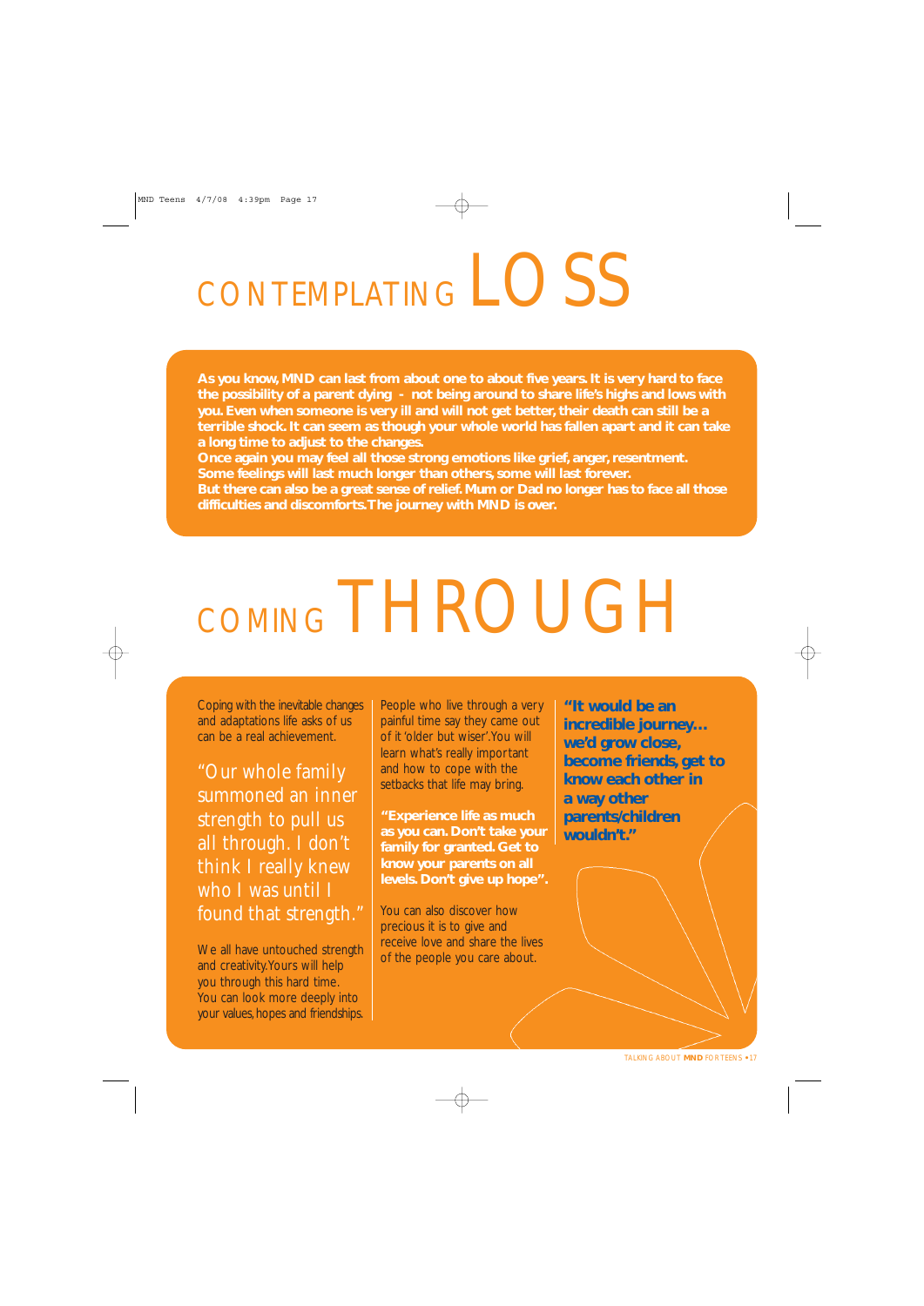## CONTEMPLATING LOSS

**As you know, MND can last from about one to about five years. It is very hard to face the possibility of a parent dying - not being around to share life's highs and lows with you. Even when someone is very ill and will not get better, their death can still be a terrible shock. It can seem as though your whole world has fallen apart and it can take a long time to adjust to the changes.**

**Once again you may feel all those strong emotions like grief, anger, resentment. Some feelings will last much longer than others, some will last forever.**

**But there can also be a great sense of relief. Mum or Dad no longer has to face all those difficulties and discomforts.The journey with MND is over.**

# COMING THROUGH

Coping with the inevitable changes and adaptations life asks of us can be a real achievement.

"Our whole family summoned an inner strength to pull us all through. I don't think I really knew who I was until I found that strength."

We all have untouched strength and creativity.Yours will help you through this hard time. You can look more deeply into your values, hopes and friendships.

People who live through a very painful time say they came out of it 'older but wiser'.You will learn what's really important and how to cope with the setbacks that life may bring.

**"Experience life as much as you can. Don't take your family for granted. Get to know your parents on all levels. Don't give up hope".**

You can also discover how precious it is to give and receive love and share the lives of the people you care about.

**"It would be an incredible journey… we'd grow close, become friends, get to know each other in a way other parents/children wouldn't."**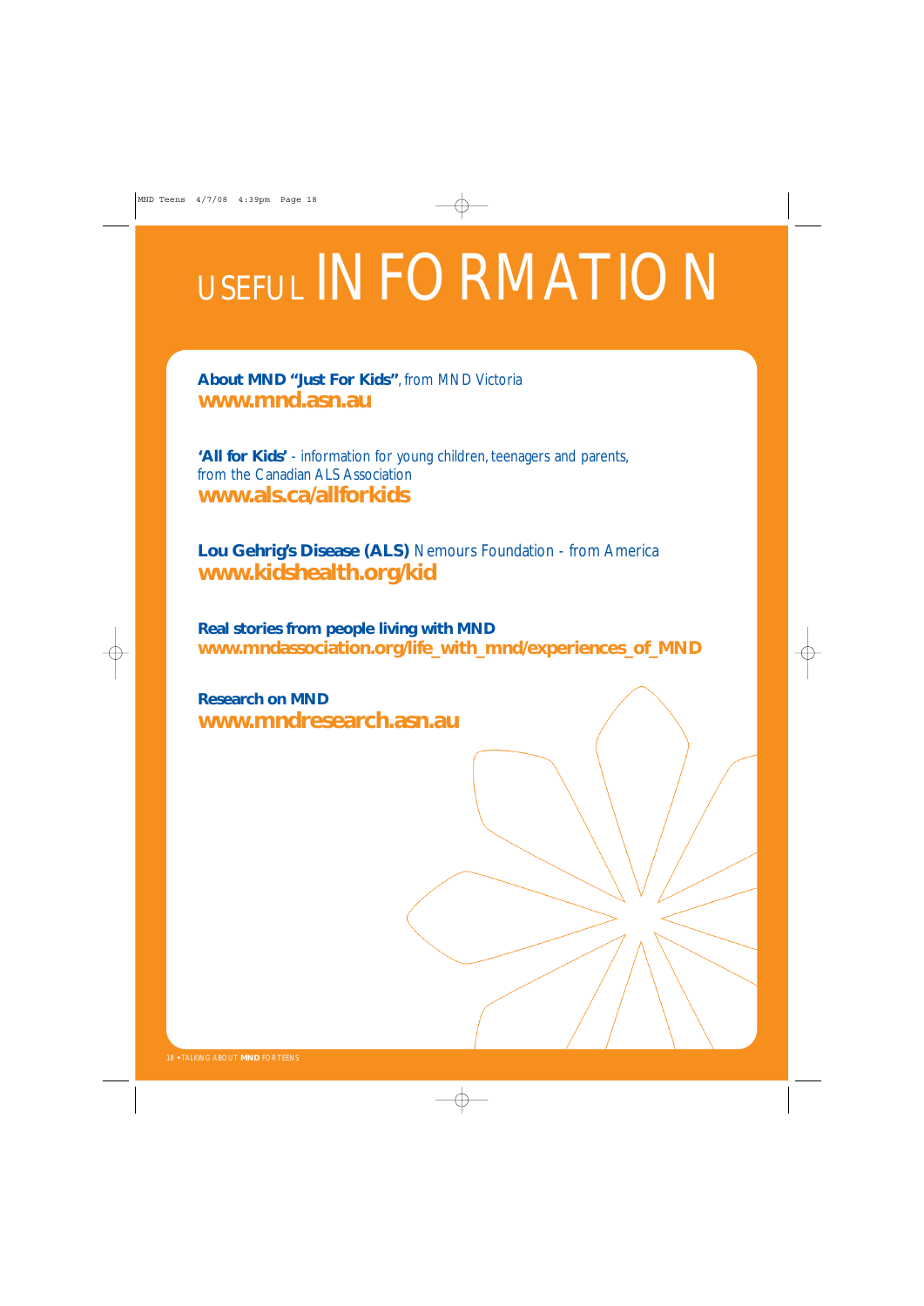## USEFUL INFORMATION

**About MND "Just For Kids"**, from MND Victoria **www.mnd.asn.au**

**'All for Kids'** - information for young children, teenagers and parents, from the Canadian ALS Association **www.als.ca/allforkids**

**Lou Gehrig's Disease (ALS)** Nemours Foundation - from America **www.kidshealth.org/kid** 

**Real stories from people living with MND www.mndassociation.org/life\_with\_mnd/experiences\_of\_MND**

**Research on MND www.mndresearch.asn.au**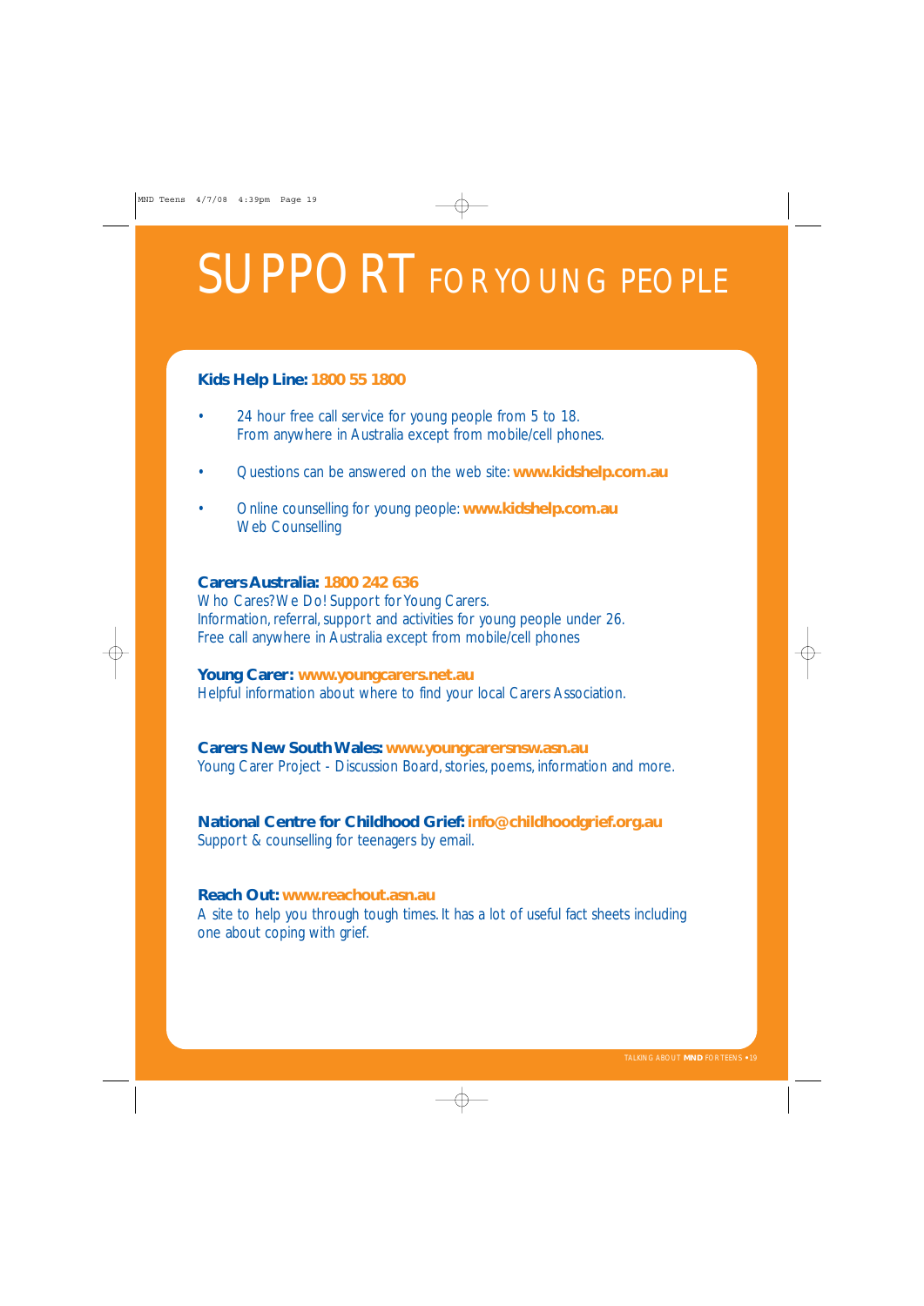## SUPPORT FOR YOUNG PEOPLE

#### **Kids Help Line: 1800 55 1800**

- 24 hour free call service for young people from 5 to 18. From anywhere in Australia except from mobile/cell phones.
- Questions can be answered on the web site: **www.kidshelp.com.au**
- Online counselling for young people: **www.kidshelp.com.au** Web Counselling

#### **Carers Australia: 1800 242 636**

Who Cares? We Do! Support for Young Carers. Information, referral, support and activities for young people under 26. Free call anywhere in Australia except from mobile/cell phones

#### **Young Carer: www.youngcarers.net.au**

Helpful information about where to find your local Carers Association.

#### **Carers New South Wales: www.youngcarersnsw.asn.au**

Young Carer Project - Discussion Board, stories, poems, information and more.

#### **National Centre for Childhood Grief: info@childhoodgrief.org.au**

Support & counselling for teenagers by email.

#### **Reach Out: www.reachout.asn.au**

A site to help you through tough times. It has a lot of useful fact sheets including one about coping with grief.